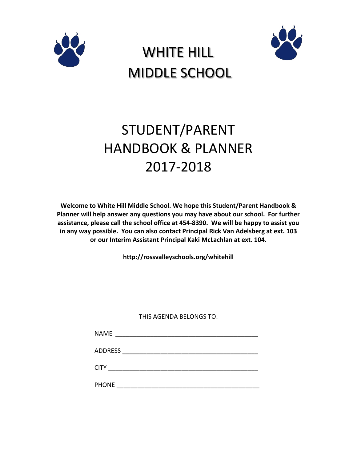





# STUDENT/PARENT HANDBOOK & PLANNER 2017-2018

**Welcome to White Hill Middle School. We hope this Student/Parent Handbook & Planner will help answer any questions you may have about our school. For further assistance, please call the school office at 454-8390. We will be happy to assist you in any way possible. You can also contact Principal Rick Van Adelsberg at ext. 103 or our Interim Assistant Principal Kaki McLachlan at ext. 104.**

**http://rossvalleyschools.org/whitehill**

THIS AGENDA BELONGS TO:

| <b>NAME</b>    |  |  |
|----------------|--|--|
| <b>ADDRESS</b> |  |  |
| <b>CITY</b>    |  |  |
| <b>PHONE</b>   |  |  |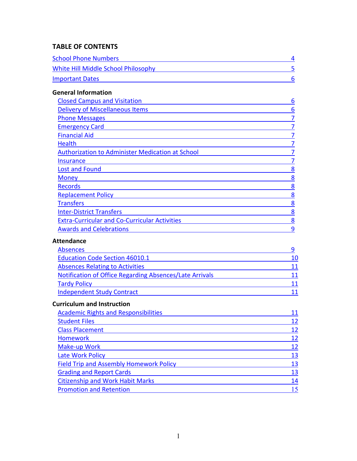# **TABLE OF CONTENTS**

| <b>School Phone Numbers</b>         |  |
|-------------------------------------|--|
| White Hill Middle School Philosophy |  |
| <b>Important Dates</b>              |  |

# **General Information**

| <b>Closed Campus and Visitation</b>                     | 6 |
|---------------------------------------------------------|---|
| <b>Delivery of Miscellaneous Items</b>                  | 6 |
| <b>Phone Messages</b>                                   |   |
|                                                         |   |
| <b>Emergency Card</b>                                   |   |
| <b>Financial Aid</b>                                    |   |
| Health                                                  |   |
| <b>Authorization to Administer Medication at School</b> |   |
| Insurance                                               |   |
| <b>Lost and Found</b>                                   | 8 |
| <b>Money</b>                                            | 8 |
| <b>Records</b>                                          | 8 |
| <b>Replacement Policy</b>                               | 8 |
| <b>Transfers</b>                                        | 8 |
| <b>Inter-District Transfers</b>                         | 8 |
| <b>Extra-Curricular and Co-Curricular Activities</b>    | 8 |
| <b>Awards and Celebrations</b>                          | 9 |

#### **Attendance**

| Absences                                                |  |
|---------------------------------------------------------|--|
| <b>Education Code Section 46010.1</b>                   |  |
| <b>Absences Relating to Activities</b>                  |  |
| Notification of Office Regarding Absences/Late Arrivals |  |
| <b>Tardy Policy</b>                                     |  |
| <b>Independent Study Contract</b>                       |  |

#### **Curriculum and Instruction**

| <b>Academic Rights and Responsibilities</b>    | 11 |
|------------------------------------------------|----|
| <b>Student Files</b>                           | 12 |
| <b>Class Placement</b>                         | 12 |
| <b>Homework</b>                                | 12 |
| Make-up Work                                   | 12 |
| <b>Late Work Policy</b>                        | 13 |
| <b>Field Trip and Assembly Homework Policy</b> | 13 |
| <b>Grading and Report Cards</b>                | 13 |
| <b>Citizenship and Work Habit Marks</b>        | 14 |
| <b>Promotion and Retention</b>                 |    |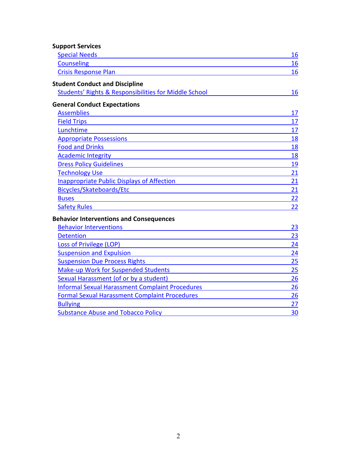| <b>Support Services</b>                                |    |
|--------------------------------------------------------|----|
| <b>Special Needs</b>                                   | 16 |
| <b>Counseling</b>                                      | 16 |
| <b>Crisis Response Plan</b>                            | 16 |
| <b>Student Conduct and Discipline</b>                  |    |
| Students' Rights & Responsibilities for Middle School  | 16 |
| <b>General Conduct Expectations</b>                    |    |
| <b>Assemblies</b>                                      | 17 |
| <b>Field Trips</b>                                     | 17 |
| Lunchtime                                              | 17 |
| <b>Appropriate Possessions</b>                         | 18 |
| <b>Food and Drinks</b>                                 | 18 |
| <b>Academic Integrity</b>                              | 18 |
| <b>Dress Policy Guidelines</b>                         | 19 |
| <b>Technology Use</b>                                  | 21 |
| <b>Inappropriate Public Displays of Affection</b>      | 21 |
| Bicycles/Skateboards/Etc                               | 21 |
| <b>Buses</b>                                           | 22 |
| <b>Safety Rules</b>                                    | 22 |
| <b>Behavior Interventions and Consequences</b>         |    |
| <b>Behavior Interventions</b>                          | 23 |
| <b>Detention</b>                                       | 23 |
| <b>Loss of Privilege (LOP)</b>                         | 24 |
| <b>Suspension and Expulsion</b>                        | 24 |
| <b>Suspension Due Process Rights</b>                   | 25 |
| Make-up Work for Suspended Students                    | 25 |
| Sexual Harassment (of or by a student)                 | 26 |
| <b>Informal Sexual Harassment Complaint Procedures</b> | 26 |
| <b>Formal Sexual Harassment Complaint Procedures</b>   | 26 |
| <b>Bullying</b>                                        | 27 |

[Bullying](#page-27-0) 27

[Substance Abuse and Tobacco Policy](#page-30-0)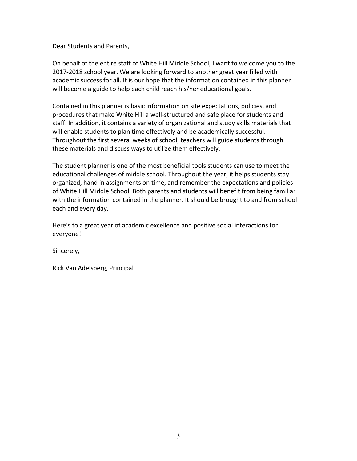Dear Students and Parents,

On behalf of the entire staff of White Hill Middle School, I want to welcome you to the 2017-2018 school year. We are looking forward to another great year filled with academic success for all. It is our hope that the information contained in this planner will become a guide to help each child reach his/her educational goals.

Contained in this planner is basic information on site expectations, policies, and procedures that make White Hill a well-structured and safe place for students and staff. In addition, it contains a variety of organizational and study skills materials that will enable students to plan time effectively and be academically successful. Throughout the first several weeks of school, teachers will guide students through these materials and discuss ways to utilize them effectively.

The student planner is one of the most beneficial tools students can use to meet the educational challenges of middle school. Throughout the year, it helps students stay organized, hand in assignments on time, and remember the expectations and policies of White Hill Middle School. Both parents and students will benefit from being familiar with the information contained in the planner. It should be brought to and from school each and every day.

Here's to a great year of academic excellence and positive social interactions for everyone!

Sincerely,

Rick Van Adelsberg, Principal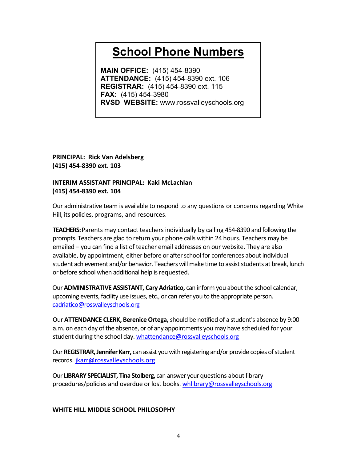# <span id="page-4-0"></span>**School Phone Numbers**

**MAIN OFFICE:** (415) 454-8390 **ATTENDANCE:** (415) 454-8390 ext. 106 **REGISTRAR:** (415) 454-8390 ext. 115 **FAX:** (415) 454-3980 **RVSD WEBSITE:** www.rossvalleyschools.org

**PRINCIPAL: Rick Van Adelsberg (415) 454-8390 ext. 103**

# **INTERIM ASSISTANT PRINCIPAL: Kaki McLachlan (415) 454-8390 ext. 104**

Our administrative team is available to respond to any questions or concerns regarding White Hill, its policies, programs, and resources.

**TEACHERS:** Parents may contact teachers individually by calling 454-8390 and following the prompts. Teachers are glad to return your phone calls within 24 hours. Teachers may be emailed – you can find a list of teacher email addresses on our website. They are also available, by appointment, either before or after school for conferences about individual student achievement and/or behavior. Teachers will make time to assist students at break, lunch or before school when additional help is requested.

Our**ADMINISTRATIVE ASSISTANT, Cary Adriatico,** can inform you about the school calendar, upcoming events, facility use issues, etc., or can refer you to the appropriate person. [cadriatico@rossvalleyschools.org](mailto:cadriatico@rossvalleyschools.org)

Our **ATTENDANCE CLERK, Berenice Ortega,** should be notified of a student's absence by 9:00 a.m. on each day of the absence, or of any appointments you may have scheduled for your student during the school day[. whattendance@rossvalleyschools.org](mailto:whattendance@rossvalleyschools.org)

Our **REGISTRAR, Jennifer Karr,** can assist you with registering and/or provide copies of student records. [jkarr@rossvalleyschools.org](mailto:jkarr@rossvalleyschools.org)

Our **LIBRARY SPECIALIST, Tina Stolberg,** can answer your questions about library procedures/policies and overdue or lost books. [whlibrary@rossvalleyschools.org](mailto:whlibrary@rossvalleyschools.org)

# <span id="page-4-1"></span>**WHITE HILL MIDDLE SCHOOL PHILOSOPHY**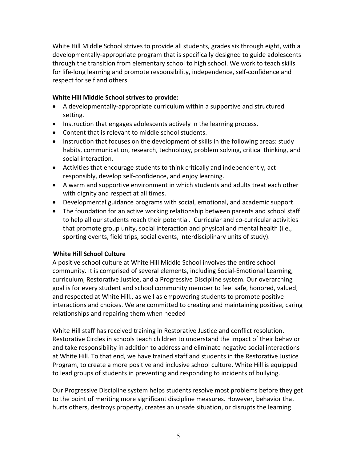White Hill Middle School strives to provide all students, grades six through eight, with a developmentally-appropriate program that is specifically designed to guide adolescents through the transition from elementary school to high school. We work to teach skills for life-long learning and promote responsibility, independence, self-confidence and respect for self and others.

#### **White Hill Middle School strives to provide:**

- A developmentally-appropriate curriculum within a supportive and structured setting.
- Instruction that engages adolescents actively in the learning process.
- Content that is relevant to middle school students.
- Instruction that focuses on the development of skills in the following areas: study habits, communication, research, technology, problem solving, critical thinking, and social interaction.
- Activities that encourage students to think critically and independently, act responsibly, develop self-confidence, and enjoy learning.
- A warm and supportive environment in which students and adults treat each other with dignity and respect at all times.
- Developmental guidance programs with social, emotional, and academic support.
- The foundation for an active working relationship between parents and school staff to help all our students reach their potential. Curricular and co-curricular activities that promote group unity, social interaction and physical and mental health (i.e., sporting events, field trips, social events, interdisciplinary units of study).

# **White Hill School Culture**

A positive school culture at White Hill Middle School involves the entire school community. It is comprised of several elements, including Social-Emotional Learning, curriculum, Restorative Justice, and a Progressive Discipline system. Our overarching goal is for every student and school community member to feel safe, honored, valued, and respected at White Hill., as well as empowering students to promote positive interactions and choices. We are committed to creating and maintaining positive, caring relationships and repairing them when needed

White Hill staff has received training in Restorative Justice and conflict resolution. Restorative Circles in schools teach children to understand the impact of their behavior and take responsibility in addition to address and eliminate negative social interactions at White Hill. To that end, we have trained staff and students in the Restorative Justice Program, to create a more positive and inclusive school culture. White Hill is equipped to lead groups of students in preventing and responding to incidents of bullying.

Our Progressive Discipline system helps students resolve most problems before they get to the point of meriting more significant discipline measures. However, behavior that hurts others, destroys property, creates an unsafe situation, or disrupts the learning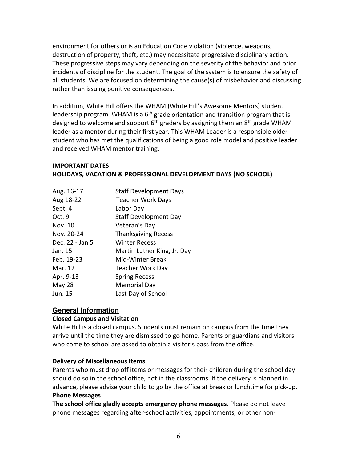environment for others or is an Education Code violation (violence, weapons, destruction of property, theft, etc.) may necessitate progressive disciplinary action. These progressive steps may vary depending on the severity of the behavior and prior incidents of discipline for the student. The goal of the system is to ensure the safety of all students. We are focused on determining the cause(s) of misbehavior and discussing rather than issuing punitive consequences.

In addition, White Hill offers the WHAM (White Hill's Awesome Mentors) student leadership program. WHAM is a  $6<sup>th</sup>$  grade orientation and transition program that is designed to welcome and support  $6<sup>th</sup>$  graders by assigning them an  $8<sup>th</sup>$  grade WHAM leader as a mentor during their first year. This WHAM Leader is a responsible older student who has met the qualifications of being a good role model and positive leader and received WHAM mentor training.

# <span id="page-6-0"></span>**IMPORTANT DATES HOLIDAYS, VACATION & PROFESSIONAL DEVELOPMENT DAYS (NO SCHOOL)**

| Aug. 16-17      | <b>Staff Development Days</b> |
|-----------------|-------------------------------|
| Aug 18-22       | <b>Teacher Work Days</b>      |
| Sept. 4         | Labor Day                     |
| Oct. 9          | <b>Staff Development Day</b>  |
| Nov. 10         | Veteran's Day                 |
| Nov. 20-24      | <b>Thanksgiving Recess</b>    |
| Dec. 22 - Jan 5 | <b>Winter Recess</b>          |
| Jan. 15         | Martin Luther King, Jr. Day   |
| Feb. 19-23      | <b>Mid-Winter Break</b>       |
| Mar. 12         | <b>Teacher Work Day</b>       |
| Apr. 9-13       | <b>Spring Recess</b>          |
| May 28          | <b>Memorial Day</b>           |
| Jun. 15         | Last Day of School            |
|                 |                               |

# **General Information**

# <span id="page-6-1"></span>**Closed Campus and Visitation**

White Hill is a closed campus. Students must remain on campus from the time they arrive until the time they are dismissed to go home. Parents or guardians and visitors who come to school are asked to obtain a visitor's pass from the office.

# <span id="page-6-2"></span>**Delivery of Miscellaneous Items**

Parents who must drop off items or messages for their children during the school day should do so in the school office, not in the classrooms. If the delivery is planned in advance, please advise your child to go by the office at break or lunchtime for pick-up. **Phone Messages**

<span id="page-6-3"></span>**The school office gladly accepts emergency phone messages.** Please do not leave phone messages regarding after-school activities, appointments, or other non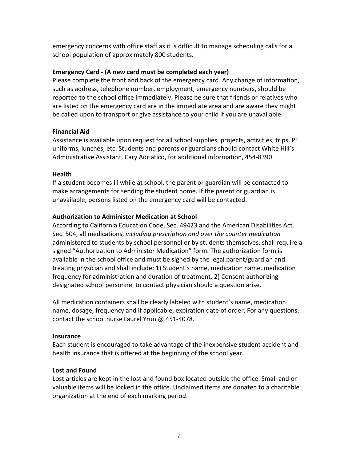emergency concerns with office staff as it is difficult to manage scheduling calls for a school population of approximately 800 students.

#### <span id="page-7-0"></span>**Emergency Card - (A new card must be completed each year)**

Please complete the front and back of the emergency card. Any change of information, such as address, telephone number, employment, emergency numbers, should be reported to the school office immediately. Please be sure that friends or relatives who are listed on the emergency card are in the immediate area and are aware they might be called upon to transport or give assistance to your child if you are unavailable.

#### <span id="page-7-1"></span>**Financial Aid**

Assistance is available upon request for all school supplies, projects, activities, trips, PE uniforms, lunches, etc. Students and parents or guardians should contact White Hill's Administrative Assistant, Cary Adriatico, for additional information, 454-8390.

#### <span id="page-7-2"></span>**Health**

If a student becomes ill while at school, the parent or guardian will be contacted to make arrangements for sending the student home. If the parent or guardian is unavailable, persons listed on the emergency card will be contacted.

#### <span id="page-7-3"></span>**Authorization to Administer Medication at School**

According to California Education Code, Sec. 49423 and the American Disabilities Act. Sec. 504, all medications, *including prescription and over the counter medication* administered to students by school personnel or by students themselves, shall require a signed "Authorization to Administer Medication" form. The authorization form is available in the school office and must be signed by the legal parent/guardian and treating physician and shall include: 1) Student's name, medication name, medication frequency for administration and duration of treatment. 2) Consent authorizing designated school personnel to contact physician should a question arise.

All medication containers shall be clearly labeled with student's name, medication name, dosage, frequency and if applicable, expiration date of order. For any questions, contact the school nurse Laurel Yrun @ 451-4078.

# <span id="page-7-4"></span>**Insurance**

Each student is encouraged to take advantage of the inexpensive student accident and health insurance that is offered at the beginning of the school year.

# <span id="page-7-5"></span>**Lost and Found**

Lost articles are kept in the lost and found box located outside the office. Small and or valuable items will be locked in the office. Unclaimed items are donated to a charitable organization at the end of each marking period.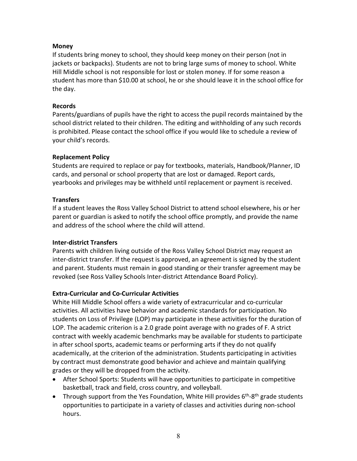# <span id="page-8-0"></span>**Money**

If students bring money to school, they should keep money on their person (not in jackets or backpacks). Students are not to bring large sums of money to school. White Hill Middle school is not responsible for lost or stolen money. If for some reason a student has more than \$10.00 at school, he or she should leave it in the school office for the day.

# <span id="page-8-1"></span>**Records**

Parents/guardians of pupils have the right to access the pupil records maintained by the school district related to their children. The editing and withholding of any such records is prohibited. Please contact the school office if you would like to schedule a review of your child's records.

# <span id="page-8-2"></span>**Replacement Policy**

Students are required to replace or pay for textbooks, materials, Handbook/Planner, ID cards, and personal or school property that are lost or damaged. Report cards, yearbooks and privileges may be withheld until replacement or payment is received.

# <span id="page-8-3"></span>**Transfers**

If a student leaves the Ross Valley School District to attend school elsewhere, his or her parent or guardian is asked to notify the school office promptly, and provide the name and address of the school where the child will attend.

# <span id="page-8-4"></span>**Inter-district Transfers**

Parents with children living outside of the Ross Valley School District may request an inter-district transfer. If the request is approved, an agreement is signed by the student and parent. Students must remain in good standing or their transfer agreement may be revoked (see Ross Valley Schools Inter-district Attendance Board Policy).

# <span id="page-8-5"></span>**Extra-Curricular and Co-Curricular Activities**

White Hill Middle School offers a wide variety of extracurricular and co-curricular activities. All activities have behavior and academic standards for participation. No students on Loss of Privilege (LOP) may participate in these activities for the duration of LOP. The academic criterion is a 2.0 grade point average with no grades of F. A strict contract with weekly academic benchmarks may be available for students to participate in after school sports, academic teams or performing arts if they do not qualify academically, at the criterion of the administration. Students participating in activities by contract must demonstrate good behavior and achieve and maintain qualifying grades or they will be dropped from the activity.

- After School Sports: Students will have opportunities to participate in competitive basketball, track and field, cross country, and volleyball.
- Through support from the Yes Foundation, White Hill provides  $6<sup>th</sup>-8<sup>th</sup>$  grade students opportunities to participate in a variety of classes and activities during non-school hours.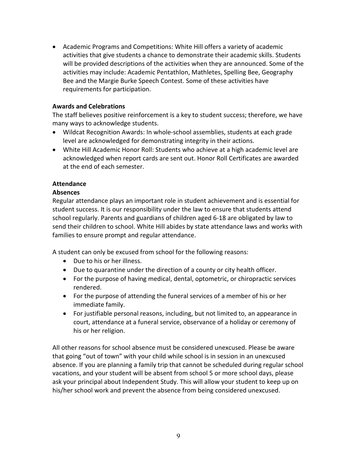• Academic Programs and Competitions: White Hill offers a variety of academic activities that give students a chance to demonstrate their academic skills. Students will be provided descriptions of the activities when they are announced. Some of the activities may include: Academic Pentathlon, Mathletes, Spelling Bee, Geography Bee and the Margie Burke Speech Contest. Some of these activities have requirements for participation.

#### <span id="page-9-0"></span>**Awards and Celebrations**

The staff believes positive reinforcement is a key to student success; therefore, we have many ways to acknowledge students.

- Wildcat Recognition Awards: In whole-school assemblies, students at each grade level are acknowledged for demonstrating integrity in their actions.
- White Hill Academic Honor Roll: Students who achieve at a high academic level are acknowledged when report cards are sent out. Honor Roll Certificates are awarded at the end of each semester.

# **Attendance**

#### <span id="page-9-1"></span>**Absences**

Regular attendance plays an important role in student achievement and is essential for student success. It is our responsibility under the law to ensure that students attend school regularly. Parents and guardians of children aged 6-18 are obligated by law to send their children to school. White Hill abides by state attendance laws and works with families to ensure prompt and regular attendance.

A student can only be excused from school for the following reasons:

- Due to his or her illness.
- Due to quarantine under the direction of a county or city health officer.
- For the purpose of having medical, dental, optometric, or chiropractic services rendered.
- For the purpose of attending the funeral services of a member of his or her immediate family.
- For justifiable personal reasons, including, but not limited to, an appearance in court, attendance at a funeral service, observance of a holiday or ceremony of his or her religion.

All other reasons for school absence must be considered unexcused. Please be aware that going "out of town" with your child while school is in session in an unexcused absence. If you are planning a family trip that cannot be scheduled during regular school vacations, and your student will be absent from school 5 or more school days, please ask your principal about Independent Study. This will allow your student to keep up on his/her school work and prevent the absence from being considered unexcused.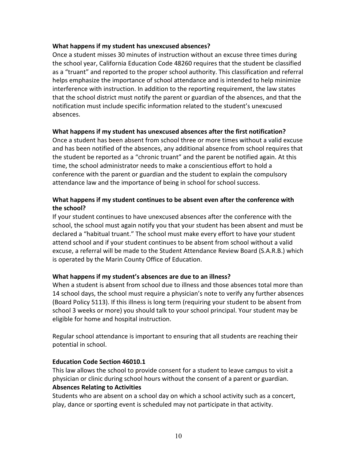#### **What happens if my student has unexcused absences?**

Once a student misses 30 minutes of instruction without an excuse three times during the school year, California Education Code 48260 requires that the student be classified as a "truant" and reported to the proper school authority. This classification and referral helps emphasize the importance of school attendance and is intended to help minimize interference with instruction. In addition to the reporting requirement, the law states that the school district must notify the parent or guardian of the absences, and that the notification must include specific information related to the student's unexcused absences.

#### **What happens if my student has unexcused absences after the first notification?**

Once a student has been absent from school three or more times without a valid excuse and has been notified of the absences, any additional absence from school requires that the student be reported as a "chronic truant" and the parent be notified again. At this time, the school administrator needs to make a conscientious effort to hold a conference with the parent or guardian and the student to explain the compulsory attendance law and the importance of being in school for school success.

# **What happens if my student continues to be absent even after the conference with the school?**

If your student continues to have unexcused absences after the conference with the school, the school must again notify you that your student has been absent and must be declared a "habitual truant." The school must make every effort to have your student attend school and if your student continues to be absent from school without a valid excuse, a referral will be made to the Student Attendance Review Board (S.A.R.B.) which is operated by the Marin County Office of Education.

# **What happens if my student's absences are due to an illness?**

When a student is absent from school due to illness and those absences total more than 14 school days, the school must require a physician's note to verify any further absences (Board Policy 5113). If this illness is long term (requiring your student to be absent from school 3 weeks or more) you should talk to your school principal. Your student may be eligible for home and hospital instruction.

Regular school attendance is important to ensuring that all students are reaching their potential in school.

# <span id="page-10-0"></span>**Education Code Section 46010.1**

This law allows the school to provide consent for a student to leave campus to visit a physician or clinic during school hours without the consent of a parent or guardian. **Absences Relating to Activities**

<span id="page-10-1"></span>Students who are absent on a school day on which a school activity such as a concert, play, dance or sporting event is scheduled may not participate in that activity.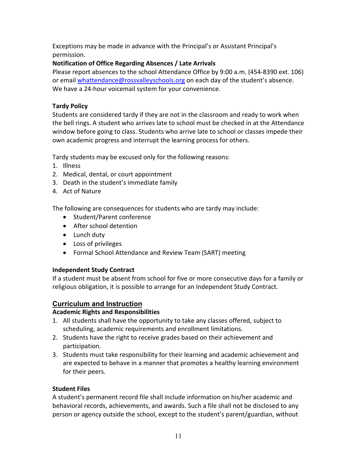Exceptions may be made in advance with the Principal's or Assistant Principal's permission.

# <span id="page-11-0"></span>**Notification of Office Regarding Absences / Late Arrivals**

Please report absences to the school Attendance Office by 9:00 a.m. (454-8390 ext. 106) or emai[l whattendance@rossvalleyschools.org](mailto:whattendance@rossvalleyschools.org) on each day of the student's absence. We have a 24-hour voicemail system for your convenience.

# <span id="page-11-1"></span>**Tardy Policy**

Students are considered tardy if they are not in the classroom and ready to work when the bell rings. A student who arrives late to school must be checked in at the Attendance window before going to class. Students who arrive late to school or classes impede their own academic progress and interrupt the learning process for others.

Tardy students may be excused only for the following reasons:

- 1. Illness
- 2. Medical, dental, or court appointment
- 3. Death in the student's immediate family
- 4. Act of Nature

The following are consequences for students who are tardy may include:

- Student/Parent conference
- After school detention
- Lunch duty
- Loss of privileges
- Formal School Attendance and Review Team (SART) meeting

# <span id="page-11-2"></span>**Independent Study Contract**

If a student must be absent from school for five or more consecutive days for a family or religious obligation, it is possible to arrange for an Independent Study Contract.

# **Curriculum and Instruction**

# <span id="page-11-3"></span>**Academic Rights and Responsibilities**

- 1. All students shall have the opportunity to take any classes offered, subject to scheduling, academic requirements and enrollment limitations.
- 2. Students have the right to receive grades based on their achievement and participation.
- 3. Students must take responsibility for their learning and academic achievement and are expected to behave in a manner that promotes a healthy learning environment for their peers.

# <span id="page-11-4"></span>**Student Files**

A student's permanent record file shall include information on his/her academic and behavioral records, achievements, and awards. Such a file shall not be disclosed to any person or agency outside the school, except to the student's parent/guardian, without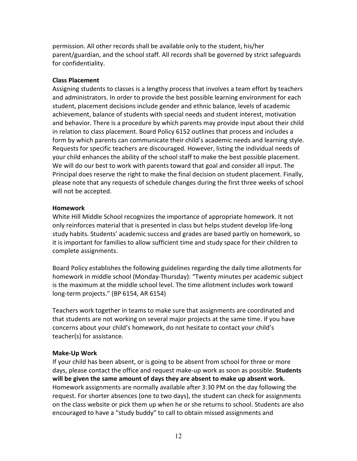permission. All other records shall be available only to the student, his/her parent/guardian, and the school staff. All records shall be governed by strict safeguards for confidentiality.

#### <span id="page-12-0"></span>**Class Placement**

Assigning students to classes is a lengthy process that involves a team effort by teachers and administrators. In order to provide the best possible learning environment for each student, placement decisions include gender and ethnic balance, levels of academic achievement, balance of students with special needs and student interest, motivation and behavior. There is a procedure by which parents may provide input about their child in relation to class placement. Board Policy 6152 outlines that process and includes a form by which parents can communicate their child's academic needs and learning style. Requests for specific teachers are discouraged. However, listing the individual needs of your child enhances the ability of the school staff to make the best possible placement. We will do our best to work with parents toward that goal and consider all input. The Principal does reserve the right to make the final decision on student placement. Finally, please note that any requests of schedule changes during the first three weeks of school will not be accepted.

#### <span id="page-12-1"></span>**Homework**

White Hill Middle School recognizes the importance of appropriate homework. It not only reinforces material that is presented in class but helps student develop life-long study habits. Students' academic success and grades are based partly on homework, so it is important for families to allow sufficient time and study space for their children to complete assignments.

Board Policy establishes the following guidelines regarding the daily time allotments for homework in middle school (Monday-Thursday): "Twenty minutes per academic subject is the maximum at the middle school level. The time allotment includes work toward long-term projects." (BP 6154, AR 6154)

Teachers work together in teams to make sure that assignments are coordinated and that students are not working on several major projects at the same time. If you have concerns about your child's homework, do not hesitate to contact your child's teacher(s) for assistance.

# <span id="page-12-2"></span>**Make-Up Work**

If your child has been absent, or is going to be absent from school for three or more days, please contact the office and request make-up work as soon as possible. **Students will be given the same amount of days they are absent to make up absent work.**  Homework assignments are normally available after 3:30 PM on the day following the request. For shorter absences (one to two days), the student can check for assignments on the class website or pick them up when he or she returns to school. Students are also encouraged to have a "study buddy" to call to obtain missed assignments and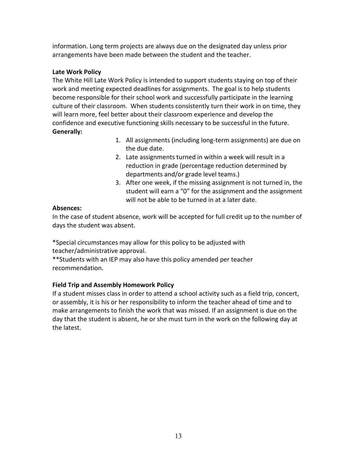information. Long term projects are always due on the designated day unless prior arrangements have been made between the student and the teacher.

# <span id="page-13-0"></span>**Late Work Policy**

The White Hill Late Work Policy is intended to support students staying on top of their work and meeting expected deadlines for assignments. The goal is to help students become responsible for their school work and successfully participate in the learning culture of their classroom. When students consistently turn their work in on time, they will learn more, feel better about their classroom experience and develop the confidence and executive functioning skills necessary to be successful in the future. **Generally:**

- 1. All assignments (including long-term assignments) are due on the due date.
- 2. Late assignments turned in within a week will result in a reduction in grade (percentage reduction determined by departments and/or grade level teams.)
- 3. After one week, if the missing assignment is not turned in, the student will earn a "0" for the assignment and the assignment will not be able to be turned in at a later date.

# **Absences:**

In the case of student absence, work will be accepted for full credit up to the number of days the student was absent.

\*Special circumstances may allow for this policy to be adjusted with teacher/administrative approval.

\*\*Students with an IEP may also have this policy amended per teacher recommendation.

# <span id="page-13-1"></span>**Field Trip and Assembly Homework Policy**

If a student misses class in order to attend a school activity such as a field trip, concert, or assembly, it is his or her responsibility to inform the teacher ahead of time and to make arrangements to finish the work that was missed. If an assignment is due on the day that the student is absent, he or she must turn in the work on the following day at the latest.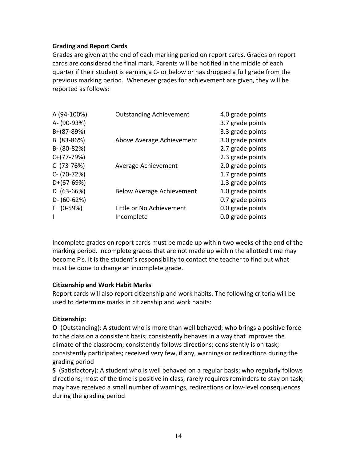#### <span id="page-14-0"></span>**Grading and Report Cards**

Grades are given at the end of each marking period on report cards. Grades on report cards are considered the final mark. Parents will be notified in the middle of each quarter if their student is earning a C- or below or has dropped a full grade from the previous marking period. Whenever grades for achievement are given, they will be reported as follows:

| A (94-100%)      | <b>Outstanding Achievement</b>   | 4.0 grade points |
|------------------|----------------------------------|------------------|
| A- (90-93%)      |                                  | 3.7 grade points |
| $B+(87-89%)$     |                                  | 3.3 grade points |
| B (83-86%)       | Above Average Achievement        | 3.0 grade points |
| B- (80-82%)      |                                  | 2.7 grade points |
| $C+(77-79%)$     |                                  | 2.3 grade points |
| $C(73-76%)$      | Average Achievement              | 2.0 grade points |
| C- (70-72%)      |                                  | 1.7 grade points |
| $D+(67-69%)$     |                                  | 1.3 grade points |
| $D(63-66%)$      | <b>Below Average Achievement</b> | 1.0 grade points |
| $D - (60 - 62%)$ |                                  | 0.7 grade points |
| $F(0-59%)$       | Little or No Achievement         | 0.0 grade points |
|                  | Incomplete                       | 0.0 grade points |
|                  |                                  |                  |

Incomplete grades on report cards must be made up within two weeks of the end of the marking period. Incomplete grades that are not made up within the allotted time may become F's. It is the student's responsibility to contact the teacher to find out what must be done to change an incomplete grade.

#### <span id="page-14-1"></span>**Citizenship and Work Habit Marks**

Report cards will also report citizenship and work habits. The following criteria will be used to determine marks in citizenship and work habits:

# **Citizenship:**

**O** (Outstanding): A student who is more than well behaved; who brings a positive force to the class on a consistent basis; consistently behaves in a way that improves the climate of the classroom; consistently follows directions; consistently is on task; consistently participates; received very few, if any, warnings or redirections during the grading period

**S** (Satisfactory): A student who is well behaved on a regular basis; who regularly follows directions; most of the time is positive in class; rarely requires reminders to stay on task; may have received a small number of warnings, redirections or low-level consequences during the grading period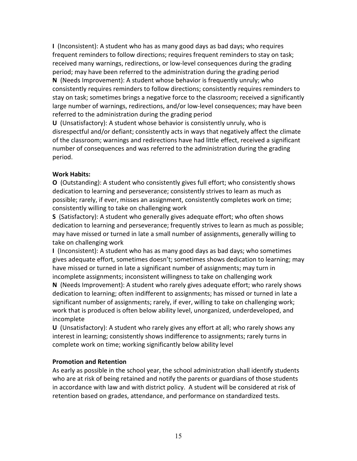**I** (Inconsistent): A student who has as many good days as bad days; who requires frequent reminders to follow directions; requires frequent reminders to stay on task; received many warnings, redirections, or low-level consequences during the grading period; may have been referred to the administration during the grading period **N** (Needs Improvement): A student whose behavior is frequently unruly; who consistently requires reminders to follow directions; consistently requires reminders to stay on task; sometimes brings a negative force to the classroom; received a significantly large number of warnings, redirections, and/or low-level consequences; may have been referred to the administration during the grading period

**U** (Unsatisfactory): A student whose behavior is consistently unruly, who is disrespectful and/or defiant; consistently acts in ways that negatively affect the climate of the classroom; warnings and redirections have had little effect, received a significant number of consequences and was referred to the administration during the grading period.

# **Work Habits:**

**O** (Outstanding): A student who consistently gives full effort; who consistently shows dedication to learning and perseverance; consistently strives to learn as much as possible; rarely, if ever, misses an assignment, consistently completes work on time; consistently willing to take on challenging work

**S** (Satisfactory): A student who generally gives adequate effort; who often shows dedication to learning and perseverance; frequently strives to learn as much as possible; may have missed or turned in late a small number of assignments, generally willing to take on challenging work

**I** (Inconsistent): A student who has as many good days as bad days; who sometimes gives adequate effort, sometimes doesn't; sometimes shows dedication to learning; may have missed or turned in late a significant number of assignments; may turn in incomplete assignments; inconsistent willingness to take on challenging work

**N** (Needs Improvement): A student who rarely gives adequate effort; who rarely shows dedication to learning; often indifferent to assignments; has missed or turned in late a significant number of assignments; rarely, if ever, willing to take on challenging work; work that is produced is often below ability level, unorganized, underdeveloped, and incomplete

**U** (Unsatisfactory): A student who rarely gives any effort at all; who rarely shows any interest in learning; consistently shows indifference to assignments; rarely turns in complete work on time; working significantly below ability level

# <span id="page-15-0"></span>**Promotion and Retention**

As early as possible in the school year, the school administration shall identify students who are at risk of being retained and notify the parents or guardians of those students in accordance with law and with district policy. A student will be considered at risk of retention based on grades, attendance, and performance on standardized tests.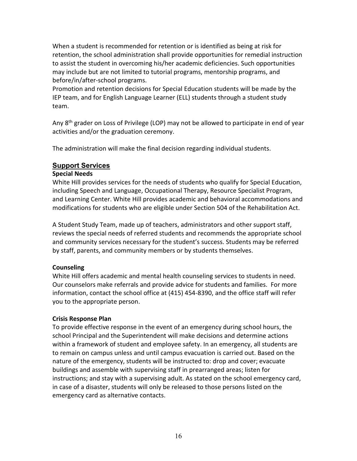When a student is recommended for retention or is identified as being at risk for retention, the school administration shall provide opportunities for remedial instruction to assist the student in overcoming his/her academic deficiencies. Such opportunities may include but are not limited to tutorial programs, mentorship programs, and before/in/after-school programs.

Promotion and retention decisions for Special Education students will be made by the IEP team, and for English Language Learner (ELL) students through a student study team.

Any  $8<sup>th</sup>$  grader on Loss of Privilege (LOP) may not be allowed to participate in end of year activities and/or the graduation ceremony.

The administration will make the final decision regarding individual students.

# **Support Services**

# <span id="page-16-0"></span>**Special Needs**

White Hill provides services for the needs of students who qualify for Special Education, including Speech and Language, Occupational Therapy, Resource Specialist Program, and Learning Center. White Hill provides academic and behavioral accommodations and modifications for students who are eligible under Section 504 of the Rehabilitation Act.

A Student Study Team, made up of teachers, administrators and other support staff, reviews the special needs of referred students and recommends the appropriate school and community services necessary for the student's success. Students may be referred by staff, parents, and community members or by students themselves.

# <span id="page-16-1"></span>**Counseling**

White Hill offers academic and mental health counseling services to students in need. Our counselors make referrals and provide advice for students and families. For more information, contact the school office at (415) 454-8390, and the office staff will refer you to the appropriate person.

# <span id="page-16-2"></span>**Crisis Response Plan**

To provide effective response in the event of an emergency during school hours, the school Principal and the Superintendent will make decisions and determine actions within a framework of student and employee safety. In an emergency, all students are to remain on campus unless and until campus evacuation is carried out. Based on the nature of the emergency, students will be instructed to: drop and cover; evacuate buildings and assemble with supervising staff in prearranged areas; listen for instructions; and stay with a supervising adult. As stated on the school emergency card, in case of a disaster, students will only be released to those persons listed on the emergency card as alternative contacts.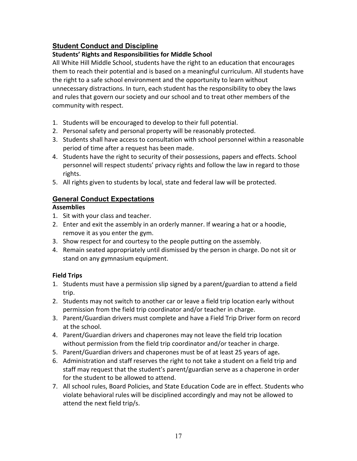# **Student Conduct and Discipline**

# <span id="page-17-0"></span>**Students' Rights and Responsibilities for Middle School**

All White Hill Middle School, students have the right to an education that encourages them to reach their potential and is based on a meaningful curriculum. All students have the right to a safe school environment and the opportunity to learn without unnecessary distractions. In turn, each student has the responsibility to obey the laws and rules that govern our society and our school and to treat other members of the community with respect.

- 1. Students will be encouraged to develop to their full potential.
- 2. Personal safety and personal property will be reasonably protected.
- 3. Students shall have access to consultation with school personnel within a reasonable period of time after a request has been made.
- 4. Students have the right to security of their possessions, papers and effects. School personnel will respect students' privacy rights and follow the law in regard to those rights.
- 5. All rights given to students by local, state and federal law will be protected.

# **General Conduct Expectations**

# <span id="page-17-1"></span>**Assemblies**

- 1. Sit with your class and teacher.
- 2. Enter and exit the assembly in an orderly manner. If wearing a hat or a hoodie, remove it as you enter the gym.
- 3. Show respect for and courtesy to the people putting on the assembly.
- 4. Remain seated appropriately until dismissed by the person in charge. Do not sit or stand on any gymnasium equipment.

# <span id="page-17-2"></span>**Field Trips**

- 1. Students must have a permission slip signed by a parent/guardian to attend a field trip.
- 2. Students may not switch to another car or leave a field trip location early without permission from the field trip coordinator and/or teacher in charge.
- 3. Parent/Guardian drivers must complete and have a Field Trip Driver form on record at the school.
- 4. Parent/Guardian drivers and chaperones may not leave the field trip location without permission from the field trip coordinator and/or teacher in charge.
- 5. Parent/Guardian drivers and chaperones must be of at least 25 years of age**.**
- 6. Administration and staff reserves the right to not take a student on a field trip and staff may request that the student's parent/guardian serve as a chaperone in order for the student to be allowed to attend.
- 7. All school rules, Board Policies, and State Education Code are in effect. Students who violate behavioral rules will be disciplined accordingly and may not be allowed to attend the next field trip/s.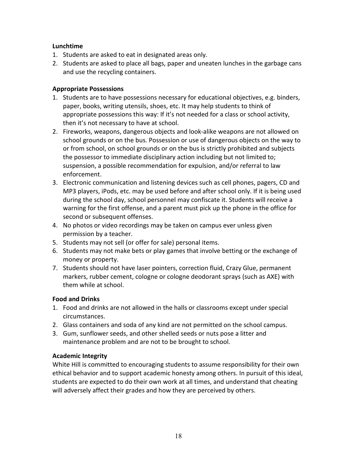# <span id="page-18-0"></span>**Lunchtime**

- 1. Students are asked to eat in designated areas only.
- 2. Students are asked to place all bags, paper and uneaten lunches in the garbage cans and use the recycling containers.

# <span id="page-18-1"></span>**Appropriate Possessions**

- 1. Students are to have possessions necessary for educational objectives, e.g. binders, paper, books, writing utensils, shoes, etc. It may help students to think of appropriate possessions this way: If it's not needed for a class or school activity, then it's not necessary to have at school.
- 2. Fireworks, weapons, dangerous objects and look-alike weapons are not allowed on school grounds or on the bus. Possession or use of dangerous objects on the way to or from school, on school grounds or on the bus is strictly prohibited and subjects the possessor to immediate disciplinary action including but not limited to; suspension, a possible recommendation for expulsion, and/or referral to law enforcement.
- 3. Electronic communication and listening devices such as cell phones, pagers, CD and MP3 players, iPods, etc. may be used before and after school only. If it is being used during the school day, school personnel may confiscate it. Students will receive a warning for the first offense, and a parent must pick up the phone in the office for second or subsequent offenses.
- 4. No photos or video recordings may be taken on campus ever unless given permission by a teacher.
- 5. Students may not sell (or offer for sale) personal items.
- 6. Students may not make bets or play games that involve betting or the exchange of money or property.
- 7. Students should not have laser pointers, correction fluid, Crazy Glue, permanent markers, rubber cement, cologne or cologne deodorant sprays (such as AXE) with them while at school.

# <span id="page-18-2"></span>**Food and Drinks**

- 1. Food and drinks are not allowed in the halls or classrooms except under special circumstances.
- 2. Glass containers and soda of any kind are not permitted on the school campus.
- 3. Gum, sunflower seeds, and other shelled seeds or nuts pose a litter and maintenance problem and are not to be brought to school.

# <span id="page-18-3"></span>**Academic Integrity**

White Hill is committed to encouraging students to assume responsibility for their own ethical behavior and to support academic honesty among others. In pursuit of this ideal, students are expected to do their own work at all times, and understand that cheating will adversely affect their grades and how they are perceived by others.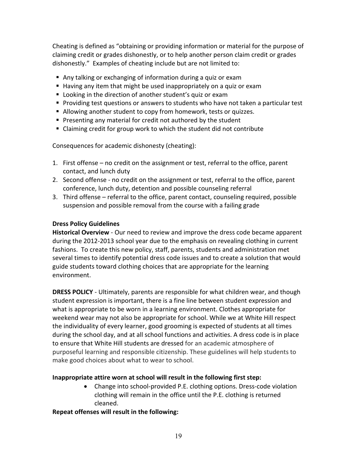Cheating is defined as "obtaining or providing information or material for the purpose of claiming credit or grades dishonestly, or to help another person claim credit or grades dishonestly." Examples of cheating include but are not limited to:

- Any talking or exchanging of information during a quiz or exam
- Having any item that might be used inappropriately on a quiz or exam
- Looking in the direction of another student's quiz or exam
- Providing test questions or answers to students who have not taken a particular test
- Allowing another student to copy from homework, tests or quizzes.
- **Presenting any material for credit not authored by the student**
- Claiming credit for group work to which the student did not contribute

Consequences for academic dishonesty (cheating):

- 1. First offense no credit on the assignment or test, referral to the office, parent contact, and lunch duty
- 2. Second offense no credit on the assignment or test, referral to the office, parent conference, lunch duty, detention and possible counseling referral
- 3. Third offense referral to the office, parent contact, counseling required, possible suspension and possible removal from the course with a failing grade

#### <span id="page-19-0"></span>**Dress Policy Guidelines**

**Historical Overview** - Our need to review and improve the dress code became apparent during the 2012-2013 school year due to the emphasis on revealing clothing in current fashions. To create this new policy, staff, parents, students and administration met several times to identify potential dress code issues and to create a solution that would guide students toward clothing choices that are appropriate for the learning environment.

**DRESS POLICY** - Ultimately, parents are responsible for what children wear, and though student expression is important, there is a fine line between student expression and what is appropriate to be worn in a learning environment. Clothes appropriate for weekend wear may not also be appropriate for school. While we at White Hill respect the individuality of every learner, good grooming is expected of students at all times during the school day, and at all school functions and activities. A dress code is in place to ensure that White Hill students are dressed for an academic atmosphere of purposeful learning and responsible citizenship. These guidelines will help students to make good choices about what to wear to school.

#### **Inappropriate attire worn at school will result in the following first step:**

• Change into school-provided P.E. clothing options. Dress-code violation clothing will remain in the office until the P.E. clothing is returned cleaned.

#### **Repeat offenses will result in the following:**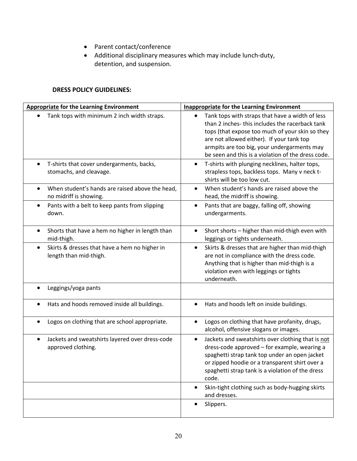- Parent contact/conference
- Additional disciplinary measures which may include lunch-duty, detention, and suspension.

#### **DRESS POLICY GUIDELINES:**

| <b>Appropriate for the Learning Environment</b>                           | <b>Inappropriate for the Learning Environment</b>                                                                                                                                                                                                                                                      |
|---------------------------------------------------------------------------|--------------------------------------------------------------------------------------------------------------------------------------------------------------------------------------------------------------------------------------------------------------------------------------------------------|
| Tank tops with minimum 2 inch width straps.                               | Tank tops with straps that have a width of less<br>than 2 inches-this includes the racerback tank<br>tops (that expose too much of your skin so they<br>are not allowed either). If your tank top<br>armpits are too big, your undergarments may<br>be seen and this is a violation of the dress code. |
| T-shirts that cover undergarments, backs,<br>stomachs, and cleavage.      | T-shirts with plunging necklines, halter tops,<br>strapless tops, backless tops. Many v neck t-<br>shirts will be too low cut.                                                                                                                                                                         |
| When student's hands are raised above the head,<br>no midriff is showing. | When student's hands are raised above the<br>head, the midriff is showing.                                                                                                                                                                                                                             |
| Pants with a belt to keep pants from slipping<br>down.                    | Pants that are baggy, falling off, showing<br>undergarments.                                                                                                                                                                                                                                           |
| Shorts that have a hem no higher in length than<br>mid-thigh.             | Short shorts - higher than mid-thigh even with<br>leggings or tights underneath.                                                                                                                                                                                                                       |
| Skirts & dresses that have a hem no higher in<br>length than mid-thigh.   | Skirts & dresses that are higher than mid-thigh<br>$\bullet$<br>are not in compliance with the dress code.<br>Anything that is higher than mid-thigh is a<br>violation even with leggings or tights<br>underneath.                                                                                     |
| Leggings/yoga pants                                                       |                                                                                                                                                                                                                                                                                                        |
| Hats and hoods removed inside all buildings.                              | Hats and hoods left on inside buildings.                                                                                                                                                                                                                                                               |
| Logos on clothing that are school appropriate.                            | Logos on clothing that have profanity, drugs,<br>alcohol, offensive slogans or images.                                                                                                                                                                                                                 |
| Jackets and sweatshirts layered over dress-code<br>approved clothing.     | Jackets and sweatshirts over clothing that is not<br>$\bullet$<br>dress-code approved - for example, wearing a<br>spaghetti strap tank top under an open jacket<br>or zipped hoodie or a transparent shirt over a<br>spaghetti strap tank is a violation of the dress<br>code.                         |
|                                                                           | Skin-tight clothing such as body-hugging skirts<br>and dresses.                                                                                                                                                                                                                                        |
|                                                                           | Slippers.                                                                                                                                                                                                                                                                                              |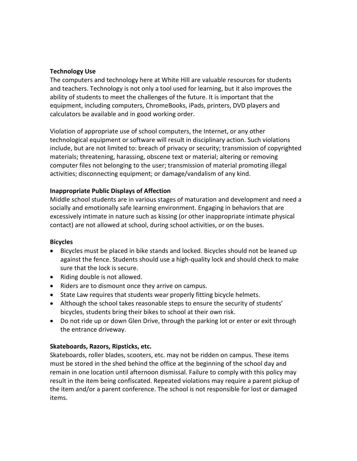#### <span id="page-21-0"></span>**Technology Use**

The computers and technology here at White Hill are valuable resources for students and teachers. Technology is not only a tool used for learning, but it also improves the ability of students to meet the challenges of the future. It is important that the equipment, including computers, ChromeBooks, iPads, printers, DVD players and calculators be available and in good working order.

Violation of appropriate use of school computers, the Internet, or any other technological equipment or software will result in disciplinary action. Such violations include, but are not limited to: breach of privacy or security; transmission of copyrighted materials; threatening, harassing, obscene text or material; altering or removing computer files not belonging to the user; transmission of material promoting illegal activities; disconnecting equipment; or damage/vandalism of any kind.

# <span id="page-21-1"></span>**Inappropriate Public Displays of Affection**

Middle school students are in various stages of maturation and development and need a socially and emotionally safe learning environment. Engaging in behaviors that are excessively intimate in nature such as kissing (or other inappropriate intimate physical contact) are not allowed at school, during school activities, or on the buses.

#### <span id="page-21-2"></span>**Bicycles**

- Bicycles must be placed in bike stands and locked. Bicycles should not be leaned up against the fence. Students should use a high-quality lock and should check to make sure that the lock is secure.
- Riding double is not allowed.
- Riders are to dismount once they arrive on campus.
- State Law requires that students wear properly fitting bicycle helmets.
- Although the school takes reasonable steps to ensure the security of students' bicycles, students bring their bikes to school at their own risk.
- Do not ride up or down Glen Drive, through the parking lot or enter or exit through the entrance driveway.

# **Skateboards, Razors, Ripsticks, etc.**

Skateboards, roller blades, scooters, etc. may not be ridden on campus. These items must be stored in the shed behind the office at the beginning of the school day and remain in one location until afternoon dismissal. Failure to comply with this policy may result in the item being confiscated. Repeated violations may require a parent pickup of the item and/or a parent conference. The school is not responsible for lost or damaged items.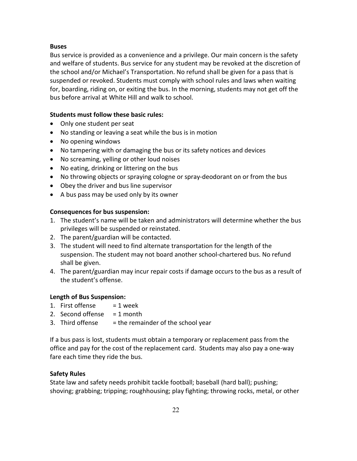#### <span id="page-22-0"></span>**Buses**

Bus service is provided as a convenience and a privilege. Our main concern is the safety and welfare of students. Bus service for any student may be revoked at the discretion of the school and/or Michael's Transportation. No refund shall be given for a pass that is suspended or revoked. Students must comply with school rules and laws when waiting for, boarding, riding on, or exiting the bus. In the morning, students may not get off the bus before arrival at White Hill and walk to school.

#### **Students must follow these basic rules:**

- Only one student per seat
- No standing or leaving a seat while the bus is in motion
- No opening windows
- No tampering with or damaging the bus or its safety notices and devices
- No screaming, yelling or other loud noises
- No eating, drinking or littering on the bus
- No throwing objects or spraying cologne or spray-deodorant on or from the bus
- Obey the driver and bus line supervisor
- A bus pass may be used only by its owner

#### **Consequences for bus suspension:**

- 1. The student's name will be taken and administrators will determine whether the bus privileges will be suspended or reinstated.
- 2. The parent/guardian will be contacted.
- 3. The student will need to find alternate transportation for the length of the suspension. The student may not board another school-chartered bus. No refund shall be given.
- 4. The parent/guardian may incur repair costs if damage occurs to the bus as a result of the student's offense.

#### **Length of Bus Suspension:**

- 1. First offense  $= 1$  week
- 2. Second offense  $= 1$  month
- 3. Third offense  $=$  the remainder of the school year

If a bus pass is lost, students must obtain a temporary or replacement pass from the office and pay for the cost of the replacement card. Students may also pay a one-way fare each time they ride the bus.

#### <span id="page-22-1"></span>**Safety Rules**

State law and safety needs prohibit tackle football; baseball (hard ball); pushing; shoving; grabbing; tripping; roughhousing; play fighting; throwing rocks, metal, or other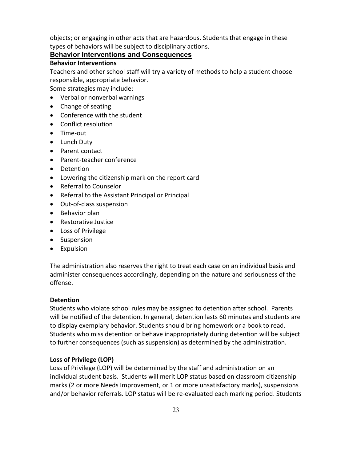objects; or engaging in other acts that are hazardous. Students that engage in these types of behaviors will be subject to disciplinary actions.

# **Behavior Interventions and Consequences**

#### <span id="page-23-0"></span>**Behavior Interventions**

Teachers and other school staff will try a variety of methods to help a student choose responsible, appropriate behavior.

Some strategies may include:

- Verbal or nonverbal warnings
- Change of seating
- Conference with the student
- Conflict resolution
- Time-out
- Lunch Duty
- Parent contact
- Parent-teacher conference
- Detention
- Lowering the citizenship mark on the report card
- Referral to Counselor
- Referral to the Assistant Principal or Principal
- Out-of-class suspension
- Behavior plan
- Restorative Justice
- Loss of Privilege
- Suspension
- Expulsion

The administration also reserves the right to treat each case on an individual basis and administer consequences accordingly, depending on the nature and seriousness of the offense.

#### <span id="page-23-1"></span>**Detention**

Students who violate school rules may be assigned to detention after school. Parents will be notified of the detention. In general, detention lasts 60 minutes and students are to display exemplary behavior. Students should bring homework or a book to read. Students who miss detention or behave inappropriately during detention will be subject to further consequences (such as suspension) as determined by the administration.

#### <span id="page-23-2"></span>**Loss of Privilege (LOP)**

Loss of Privilege (LOP) will be determined by the staff and administration on an individual student basis. Students will merit LOP status based on classroom citizenship marks (2 or more Needs Improvement, or 1 or more unsatisfactory marks), suspensions and/or behavior referrals. LOP status will be re-evaluated each marking period. Students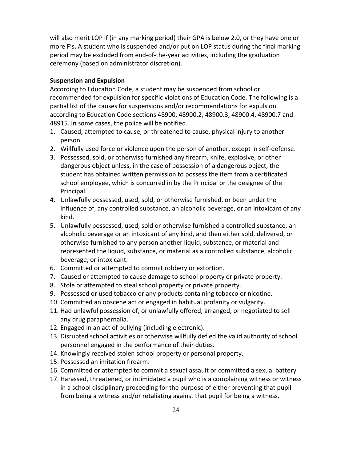will also merit LOP if (in any marking period) their GPA is below 2.0, or they have one or more F's**.** A student who is suspended and/or put on LOP status during the final marking period may be excluded from end-of-the-year activities, including the graduation ceremony (based on administrator discretion).

#### <span id="page-24-0"></span>**Suspension and Expulsion**

According to Education Code, a student may be suspended from school or recommended for expulsion for specific violations of Education Code. The following is a partial list of the causes for suspensions and/or recommendations for expulsion according to Education Code sections 48900, 48900.2, 48900.3, 48900.4, 48900.7 and 48915. In some cases, the police will be notified.

- 1. Caused, attempted to cause, or threatened to cause, physical injury to another person.
- 2. Willfully used force or violence upon the person of another, except in self-defense.
- 3. Possessed, sold, or otherwise furnished any firearm, knife, explosive, or other dangerous object unless, in the case of possession of a dangerous object, the student has obtained written permission to possess the item from a certificated school employee, which is concurred in by the Principal or the designee of the Principal.
- 4. Unlawfully possessed, used, sold, or otherwise furnished, or been under the influence of, any controlled substance, an alcoholic beverage, or an intoxicant of any kind.
- 5. Unlawfully possessed, used, sold or otherwise furnished a controlled substance, an alcoholic beverage or an intoxicant of any kind, and then either sold, delivered, or otherwise furnished to any person another liquid, substance, or material and represented the liquid, substance, or material as a controlled substance, alcoholic beverage, or intoxicant.
- 6. Committed or attempted to commit robbery or extortion.
- 7. Caused or attempted to cause damage to school property or private property.
- 8. Stole or attempted to steal school property or private property.
- 9. Possessed or used tobacco or any products containing tobacco or nicotine.
- 10. Committed an obscene act or engaged in habitual profanity or vulgarity.
- 11. Had unlawful possession of, or unlawfully offered, arranged, or negotiated to sell any drug paraphernalia.
- 12. Engaged in an act of bullying (including electronic).
- 13. Disrupted school activities or otherwise willfully defied the valid authority of school personnel engaged in the performance of their duties.
- 14. Knowingly received stolen school property or personal property.
- 15. Possessed an imitation firearm.
- 16. Committed or attempted to commit a sexual assault or committed a sexual battery.
- 17. Harassed, threatened, or intimidated a pupil who is a complaining witness or witness in a school disciplinary proceeding for the purpose of either preventing that pupil from being a witness and/or retaliating against that pupil for being a witness.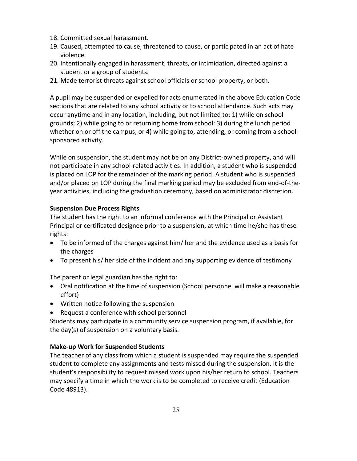- 18. Committed sexual harassment.
- 19. Caused, attempted to cause, threatened to cause, or participated in an act of hate violence.
- 20. Intentionally engaged in harassment, threats, or intimidation, directed against a student or a group of students.
- 21. Made terrorist threats against school officials or school property, or both.

A pupil may be suspended or expelled for acts enumerated in the above Education Code sections that are related to any school activity or to school attendance. Such acts may occur anytime and in any location, including, but not limited to: 1) while on school grounds; 2) while going to or returning home from school: 3) during the lunch period whether on or off the campus; or 4) while going to, attending, or coming from a schoolsponsored activity.

While on suspension, the student may not be on any District-owned property, and will not participate in any school-related activities. In addition, a student who is suspended is placed on LOP for the remainder of the marking period. A student who is suspended and/or placed on LOP during the final marking period may be excluded from end-of-theyear activities, including the graduation ceremony, based on administrator discretion.

#### <span id="page-25-0"></span>**Suspension Due Process Rights**

The student has the right to an informal conference with the Principal or Assistant Principal or certificated designee prior to a suspension, at which time he/she has these rights:

- To be informed of the charges against him/ her and the evidence used as a basis for the charges
- To present his/ her side of the incident and any supporting evidence of testimony

The parent or legal guardian has the right to:

- Oral notification at the time of suspension (School personnel will make a reasonable effort)
- Written notice following the suspension
- Request a conference with school personnel

Students may participate in a community service suspension program, if available, for the day(s) of suspension on a voluntary basis.

# <span id="page-25-1"></span>**Make-up Work for Suspended Students**

The teacher of any class from which a student is suspended may require the suspended student to complete any assignments and tests missed during the suspension. It is the student's responsibility to request missed work upon his/her return to school. Teachers may specify a time in which the work is to be completed to receive credit (Education Code 48913).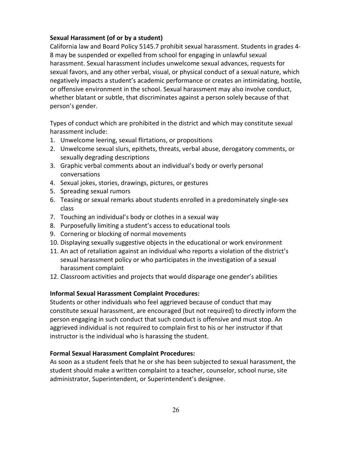#### <span id="page-26-0"></span>**Sexual Harassment (of or by a student)**

California law and Board Policy 5145.7 prohibit sexual harassment. Students in grades 4- 8 may be suspended or expelled from school for engaging in unlawful sexual harassment. Sexual harassment includes unwelcome sexual advances, requests for sexual favors, and any other verbal, visual, or physical conduct of a sexual nature, which negatively impacts a student's academic performance or creates an intimidating, hostile, or offensive environment in the school. Sexual harassment may also involve conduct, whether blatant or subtle, that discriminates against a person solely because of that person's gender.

Types of conduct which are prohibited in the district and which may constitute sexual harassment include:

- 1. Unwelcome leering, sexual flirtations, or propositions
- 2. Unwelcome sexual slurs, epithets, threats, verbal abuse, derogatory comments, or sexually degrading descriptions
- 3. Graphic verbal comments about an individual's body or overly personal conversations
- 4. Sexual jokes, stories, drawings, pictures, or gestures
- 5. Spreading sexual rumors
- 6. Teasing or sexual remarks about students enrolled in a predominately single-sex class
- 7. Touching an individual's body or clothes in a sexual way
- 8. Purposefully limiting a student's access to educational tools
- 9. Cornering or blocking of normal movements
- 10. Displaying sexually suggestive objects in the educational or work environment
- 11. An act of retaliation against an individual who reports a violation of the district's sexual harassment policy or who participates in the investigation of a sexual harassment complaint
- 12. Classroom activities and projects that would disparage one gender's abilities

#### <span id="page-26-1"></span>**Informal Sexual Harassment Complaint Procedures:**

Students or other individuals who feel aggrieved because of conduct that may constitute sexual harassment, are encouraged (but not required) to directly inform the person engaging in such conduct that such conduct is offensive and must stop. An aggrieved individual is not required to complain first to his or her instructor if that instructor is the individual who is harassing the student.

#### <span id="page-26-2"></span>**Formal Sexual Harassment Complaint Procedures:**

As soon as a student feels that he or she has been subjected to sexual harassment, the student should make a written complaint to a teacher, counselor, school nurse, site administrator, Superintendent, or Superintendent's designee.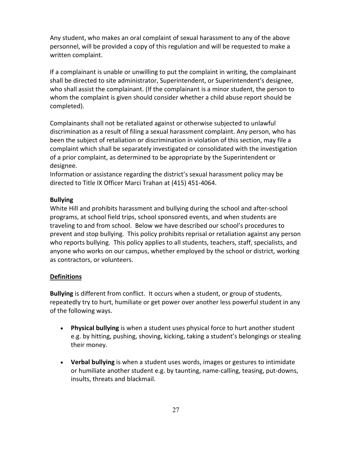Any student, who makes an oral complaint of sexual harassment to any of the above personnel, will be provided a copy of this regulation and will be requested to make a written complaint.

If a complainant is unable or unwilling to put the complaint in writing, the complainant shall be directed to site administrator, Superintendent, or Superintendent's designee, who shall assist the complainant. (If the complainant is a minor student, the person to whom the complaint is given should consider whether a child abuse report should be completed).

Complainants shall not be retaliated against or otherwise subjected to unlawful discrimination as a result of filing a sexual harassment complaint. Any person, who has been the subject of retaliation or discrimination in violation of this section, may file a complaint which shall be separately investigated or consolidated with the investigation of a prior complaint, as determined to be appropriate by the Superintendent or designee.

Information or assistance regarding the district's sexual harassment policy may be directed to Title IX Officer Marci Trahan at (415) 451-4064.

#### <span id="page-27-0"></span>**Bullying**

White Hill and prohibits harassment and bullying during the school and after-school programs, at school field trips, school sponsored events, and when students are traveling to and from school. Below we have described our school's procedures to prevent and stop bullying. This policy prohibits reprisal or retaliation against any person who reports bullying. This policy applies to all students, teachers, staff, specialists, and anyone who works on our campus, whether employed by the school or district, working as contractors, or volunteers.

#### **Definitions**

**Bullying** is different from conflict. It occurs when a student, or group of students, repeatedly try to hurt, humiliate or get power over another less powerful student in any of the following ways.

- **Physical bullying** is when a student uses physical force to hurt another student e.g. by hitting, pushing, shoving, kicking, taking a student's belongings or stealing their money.
- **Verbal bullying** is when a student uses words, images or gestures to intimidate or humiliate another student e.g. by taunting, name-calling, teasing, put-downs, insults, threats and blackmail.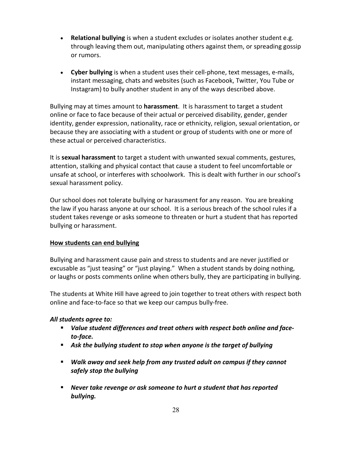- **Relational bullying** is when a student excludes or isolates another student e.g. through leaving them out, manipulating others against them, or spreading gossip or rumors.
- **Cyber bullying** is when a student uses their cell-phone, text messages, e-mails, instant messaging, chats and websites (such as Facebook, Twitter, You Tube or Instagram) to bully another student in any of the ways described above.

Bullying may at times amount to **harassment**. It is harassment to target a student online or face to face because of their actual or perceived disability, gender, gender identity, gender expression, nationality, race or ethnicity, religion, sexual orientation, or because they are associating with a student or group of students with one or more of these actual or perceived characteristics.

It is **sexual harassment** to target a student with unwanted sexual comments, gestures, attention, stalking and physical contact that cause a student to feel uncomfortable or unsafe at school, or interferes with schoolwork. This is dealt with further in our school's sexual harassment policy.

Our school does not tolerate bullying or harassment for any reason. You are breaking the law if you harass anyone at our school. It is a serious breach of the school rules if a student takes revenge or asks someone to threaten or hurt a student that has reported bullying or harassment.

#### **How students can end bullying**

Bullying and harassment cause pain and stress to students and are never justified or excusable as "just teasing" or "just playing." When a student stands by doing nothing, or laughs or posts comments online when others bully, they are participating in bullying.

The students at White Hill have agreed to join together to treat others with respect both online and face-to-face so that we keep our campus bully-free.

#### *All students agree to:*

- *Value student differences and treat others with respect both online and faceto-face.*
- *Ask the bullying student to stop when anyone is the target of bullying*
- *Walk away and seek help from any trusted adult on campus if they cannot safely stop the bullying*
- *Never take revenge or ask someone to hurt a student that has reported bullying.*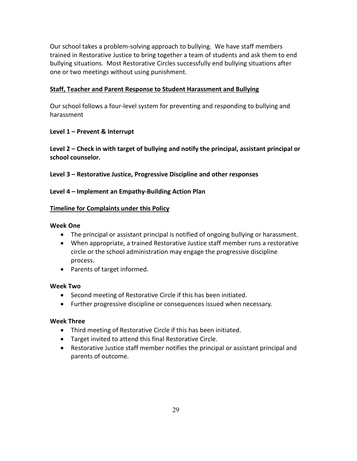Our school takes a problem-solving approach to bullying. We have staff members trained in Restorative Justice to bring together a team of students and ask them to end bullying situations. Most Restorative Circles successfully end bullying situations after one or two meetings without using punishment.

#### **Staff, Teacher and Parent Response to Student Harassment and Bullying**

Our school follows a four-level system for preventing and responding to bullying and harassment

#### **Level 1 – Prevent & Interrupt**

**Level 2 – Check in with target of bullying and notify the principal, assistant principal or school counselor.** 

**Level 3 – Restorative Justice, Progressive Discipline and other responses**

#### **Level 4 – Implement an Empathy-Building Action Plan**

#### **Timeline for Complaints under this Policy**

#### **Week One**

- The principal or assistant principal is notified of ongoing bullying or harassment.
- When appropriate, a trained Restorative Justice staff member runs a restorative circle or the school administration may engage the progressive discipline process.
- Parents of target informed.

#### **Week Two**

- Second meeting of Restorative Circle if this has been initiated.
- Further progressive discipline or consequences issued when necessary.

#### **Week Three**

- Third meeting of Restorative Circle if this has been initiated.
- Target invited to attend this final Restorative Circle.
- Restorative Justice staff member notifies the principal or assistant principal and parents of outcome.